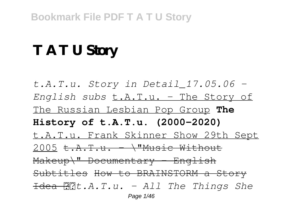# **T A T U Story**

*t.A.T.u. Story in Detail\_17.05.06 - English subs* t.A.T.u. - The Story of The Russian Lesbian Pop Group **The History of t.A.T.u. (2000-2020)** t.A.T.u. Frank Skinner Show 29th Sept 2005  $t.A.T.u. - \frac{1}{M}$ Music Without Makeup\" Documentary - English Subtitles How to BRAINSTORM a Story Idea *t.A.T.u. - All The Things She* Page 1/46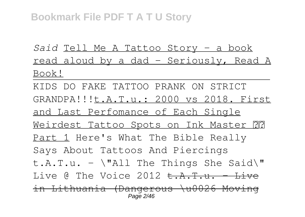*Said* Tell Me A Tattoo Story - a book read aloud by a dad - Seriously, Read A Book!

KIDS DO FAKE TATTOO PRANK ON STRICT GRANDPA!!!t.A.T.u.: 2000 vs 2018. First and Last Perfomance of Each Single Weirdest Tattoo Spots on Ink Master ?? Part 1 Here's What The Bible Really Says About Tattoos And Piercings t.A.T.u. -  $\forall$  "All The Things She Said $\forall$ " Live  $\alpha$  The Voice 2012 <del>t. A.T.u. - Live</del> in Lithuania (Dangerous \u0026 Moving Page 2/46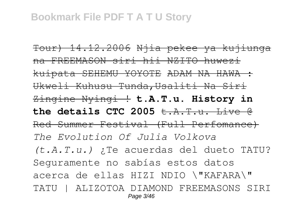Tour) 14.12.2006 Njia pekee ya kujiunga na FREEMASON siri hii NZITO huwezi kuipata SEHEMU YOYOTE ADAM NA HAWA : Ukweli Kuhusu Tunda,Usaliti Na Siri Zingine Nyingi ! **t.A.T.u. History in** the details CTC 2005  $t.A.T.u.$  Live  $\theta$ Red Summer Festival (Full Perfomance) *The Evolution Of Julia Volkova (t.A.T.u.)* ¿Te acuerdas del dueto TATU? Seguramente no sabías estos datos acerca de ellas HIZI NDIO \"KAFARA\" TATU | ALIZOTOA DIAMOND FREEMASONS SIRI Page 3/46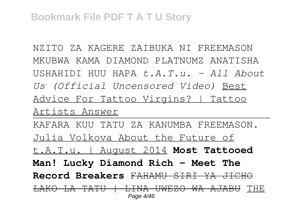NZITO ZA KAGERE ZAIBUKA NI FREEMASON MKUBWA KAMA DIAMOND PLATNUMZ ANATISHA USHAHIDI HUU HAPA *t.A.T.u. - All About Us (Official Uncensored Video)* Best Advice For Tattoo Virgins? | Tattoo Artists Answer KAFARA KUU TATU ZA KANUMBA FREEMASON. Julia Volkova About the Future of t.A.T.u. | August 2014 **Most Tattooed Man! Lucky Diamond Rich - Meet The Record Breakers** FAHAMU SIRI YA JICHO LAKO LA TATU | LINA UWEZO WA AJABU THE Page 4/46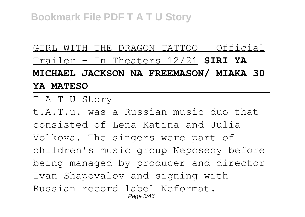GIRL WITH THE DRAGON TATTOO - Official Trailer - In Theaters 12/21 **SIRI YA MICHAEL JACKSON NA FREEMASON/ MIAKA 30 YA MATESO**

T A T U Story

t.A.T.u. was a Russian music duo that consisted of Lena Katina and Julia Volkova. The singers were part of children's music group Neposedy before being managed by producer and director Ivan Shapovalov and signing with Russian record label Neformat. Page 5/46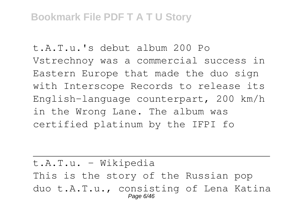t.A.T.u.'s debut album 200 Po Vstrechnoy was a commercial success in Eastern Europe that made the duo sign with Interscope Records to release its English-language counterpart, 200 km/h in the Wrong Lane. The album was certified platinum by the IFPI fo

t.A.T.u. - Wikipedia This is the story of the Russian pop duo t.A.T.u., consisting of Lena Katina Page 6/46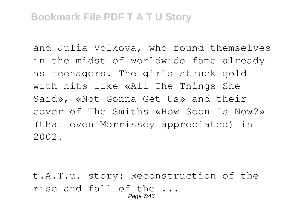and Julia Volkova, who found themselves in the midst of worldwide fame already as teenagers. The girls struck gold with hits like «All The Things She Said», «Not Gonna Get Us» and their cover of The Smiths «How Soon Is Now?» (that even Morrissey appreciated) in 2002.

t.A.T.u. story: Reconstruction of the rise and fall of the ... Page 7/46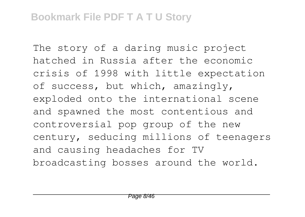The story of a daring music project hatched in Russia after the economic crisis of 1998 with little expectation of success, but which, amazingly, exploded onto the international scene and spawned the most contentious and controversial pop group of the new century, seducing millions of teenagers and causing headaches for TV broadcasting bosses around the world.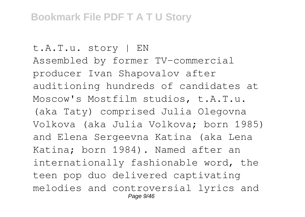t.A.T.u. story | EN Assembled by former TV-commercial producer Ivan Shapovalov after auditioning hundreds of candidates at Moscow's Mostfilm studios, t.A.T.u. (aka Taty) comprised Julia Olegovna Volkova (aka Julia Volkova; born 1985) and Elena Sergeevna Katina (aka Lena Katina; born 1984). Named after an internationally fashionable word, the teen pop duo delivered captivating melodies and controversial lyrics and Page 9/46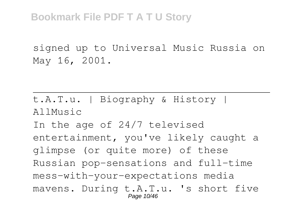signed up to Universal Music Russia on May 16, 2001.

t.A.T.u. | Biography & History | AllMusic In the age of 24/7 televised entertainment, you've likely caught a glimpse (or quite more) of these Russian pop-sensations and full-time mess-with-your-expectations media mavens. During t.A.T.u. 's short five Page 10/46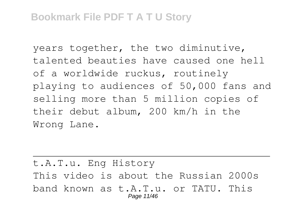years together, the two diminutive, talented beauties have caused one hell of a worldwide ruckus, routinely playing to audiences of 50,000 fans and selling more than 5 million copies of their debut album, 200 km/h in the Wrong Lane.

t.A.T.u. Eng History This video is about the Russian 2000s band known as t.A.T.u. or TATU. This Page 11/46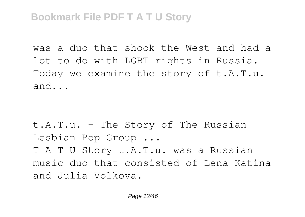was a duo that shook the West and had a lot to do with LGBT rights in Russia. Today we examine the story of t.A.T.u. and...

t.A.T.u. - The Story of The Russian Lesbian Pop Group ... T A T U Story t.A.T.u. was a Russian music duo that consisted of Lena Katina and Julia Volkova.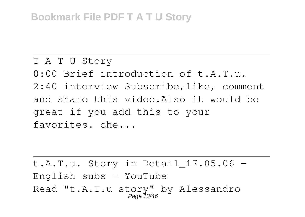T A T U Story 0:00 Brief introduction of t.A.T.u. 2:40 interview Subscribe,like, comment and share this video.Also it would be great if you add this to your favorites. che...

t.A.T.u. Story in Detail  $17.05.06$  -English subs  $-$  YouTube Read "t.A.T.u story" by Alessandro Page 13/46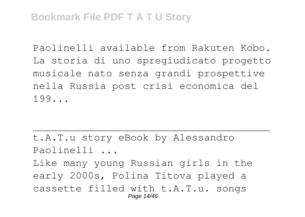Paolinelli available from Rakuten Kobo. La storia di uno spregiudicato progetto musicale nato senza grandi prospettive nella Russia post crisi economica del 199...

t.A.T.u story eBook by Alessandro Paolinelli ...

Like many young Russian girls in the early 2000s, Polina Titova played a cassette filled with t.A.T.u. songs Page 14/46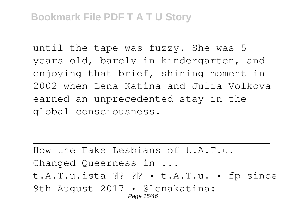until the tape was fuzzy. She was 5 years old, barely in kindergarten, and enjoying that brief, shining moment in 2002 when Lena Katina and Julia Volkova earned an unprecedented stay in the global consciousness.

How the Fake Lesbians of t.A.T.u. Changed Queerness in ... t.A.T.u.ista • t.A.T.u. • fp since 9th August 2017 · @lenakatina: Page 15/46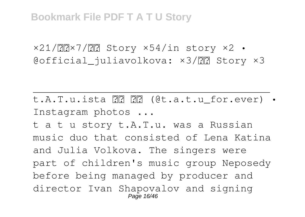$x21/\overline{?}x7/\overline{?}x7$  Story  $x54/in$  story  $x2$  • @official\_juliavolkova:  $\times 3/$   $\boxed{7}$  Story  $\times 3$ 

t.A.T.u.ista (@t.a.t.u\_for.ever) • Instagram photos ...

t a t u story t.A.T.u. was a Russian music duo that consisted of Lena Katina and Julia Volkova. The singers were part of children's music group Neposedy before being managed by producer and director Ivan Shapovalov and signing Page 16/46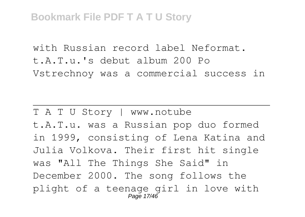with Russian record label Neformat. t.A.T.u.'s debut album 200 Po Vstrechnoy was a commercial success in

T A T U Story | www.notube t.A.T.u. was a Russian pop duo formed in 1999, consisting of Lena Katina and Julia Volkova. Their first hit single was "All The Things She Said" in December 2000. The song follows the plight of a teenage girl in love with Page 17/46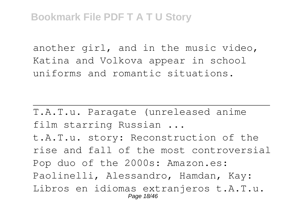another girl, and in the music video, Katina and Volkova appear in school uniforms and romantic situations.

T.A.T.u. Paragate (unreleased anime film starring Russian ...

t.A.T.u. story: Reconstruction of the rise and fall of the most controversial Pop duo of the 2000s: Amazon.es: Paolinelli, Alessandro, Hamdan, Kay: Libros en idiomas extranjeros t.A.T.u. Page 18/46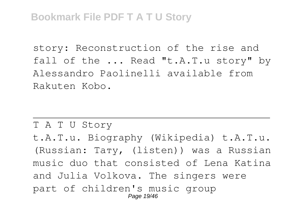story: Reconstruction of the rise and fall of the ... Read "t.A.T.u story" by Alessandro Paolinelli available from Rakuten Kobo.

T A T U Story t.A.T.u. Biography (Wikipedia) t.A.T.u. (Russian: Тату, (listen)) was a Russian music duo that consisted of Lena Katina and Julia Volkova. The singers were part of children's music group Page 19/46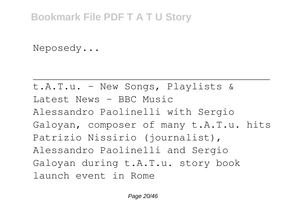Neposedy...

```
t.A.T.u. - New Songs, Playlists &
Latest News - BBC Music
Alessandro Paolinelli with Sergio
Galoyan, composer of many t.A.T.u. hits
Patrizio Nissirio (journalist),
Alessandro Paolinelli and Sergio
Galoyan during t.A.T.u. story book
launch event in Rome
```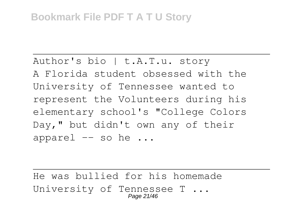Author's bio | t.A.T.u. story A Florida student obsessed with the University of Tennessee wanted to represent the Volunteers during his elementary school's "College Colors Day," but didn't own any of their apparel  $--$  so he  $\ldots$ 

He was bullied for his homemade University of Tennessee T ... Page 21/46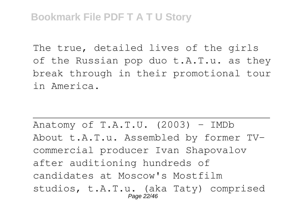The true, detailed lives of the girls of the Russian pop duo t.A.T.u. as they break through in their promotional tour in America.

Anatomy of  $T.A.T.U.$  (2003) - IMDb About t.A.T.u. Assembled by former TVcommercial producer Ivan Shapovalov after auditioning hundreds of candidates at Moscow's Mostfilm studios, t.A.T.u. (aka Taty) comprised Page 22/46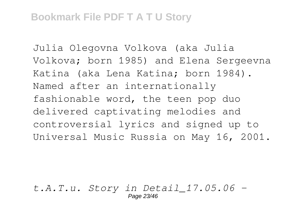Julia Olegovna Volkova (aka Julia Volkova; born 1985) and Elena Sergeevna Katina (aka Lena Katina; born 1984). Named after an internationally fashionable word, the teen pop duo delivered captivating melodies and controversial lyrics and signed up to Universal Music Russia on May 16, 2001.

*t.A.T.u. Story in Detail\_17.05.06 -* Page 23/46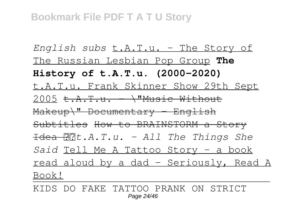*English subs* t.A.T.u. - The Story of The Russian Lesbian Pop Group **The History of t.A.T.u. (2000-2020)** t.A.T.u. Frank Skinner Show 29th Sept  $2005$  t.  $A$ . T. u.  $\lambda$ "Music Without  $Makeup\$ " Documentary - English Subtitles How to BRAINSTORM a Story Idea *t.A.T.u. - All The Things She Said* Tell Me A Tattoo Story - a book read aloud by a dad - Seriously, Read A Book!

KIDS DO FAKE TATTOO PRANK ON STRICT Page 24/46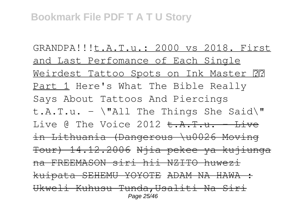GRANDPA!!!t.A.T.u.: 2000 vs 2018. First and Last Perfomance of Each Single Weirdest Tattoo Spots on Ink Master ?? Part 1 Here's What The Bible Really Says About Tattoos And Piercings t.A.T.u. -  $\forall$ "All The Things She Said $\forall$ " Live  $\alpha$  The Voice 2012 <del>t. A.T.u. - Live</del> in Lithuania (Dangerous \u0026 Moving Tour) 14.12.2006 Njia pekee ya kujiunga na FREEMASON siri hii NZITO huwezi kuipata SEHEMU YOYOTE ADAM NA HAWA : Ukweli Kuhusu Tunda,Usaliti Na Siri Page 25/46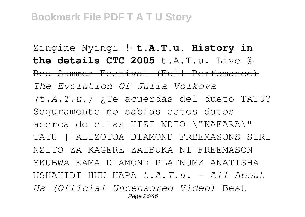Zingine Nyingi ! **t.A.T.u. History in** the details CTC 2005  $\dots$   $\ddots$   $\ddots$  Live  $\theta$ Red Summer Festival (Full Perfomance) *The Evolution Of Julia Volkova (t.A.T.u.)* ¿Te acuerdas del dueto TATU? Seguramente no sabías estos datos acerca de ellas HIZI NDIO \"KAFARA\" TATU | ALIZOTOA DIAMOND FREEMASONS SIRI NZITO ZA KAGERE ZAIBUKA NI FREEMASON MKUBWA KAMA DIAMOND PLATNUMZ ANATISHA USHAHIDI HUU HAPA *t.A.T.u. - All About Us (Official Uncensored Video)* Best Page 26/46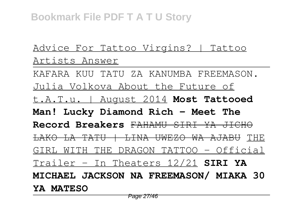### Advice For Tattoo Virgins? | Tattoo Artists Answer

KAFARA KUU TATU ZA KANUMBA FREEMASON. Julia Volkova About the Future of t.A.T.u. | August 2014 **Most Tattooed Man! Lucky Diamond Rich - Meet The Record Breakers** FAHAMU SIRI YA JICHO LAKO LA TATU | LINA UWEZO WA AJABU THE GIRL WITH THE DRAGON TATTOO - Official Trailer - In Theaters 12/21 **SIRI YA MICHAEL JACKSON NA FREEMASON/ MIAKA 30 YA MATESO**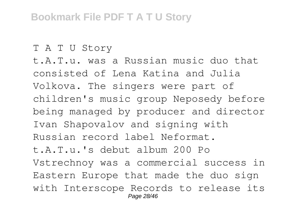T A T U Story

t.A.T.u. was a Russian music duo that consisted of Lena Katina and Julia Volkova. The singers were part of children's music group Neposedy before being managed by producer and director Ivan Shapovalov and signing with Russian record label Neformat. t.A.T.u.'s debut album 200 Po Vstrechnoy was a commercial success in Eastern Europe that made the duo sign with Interscope Records to release its Page 28/46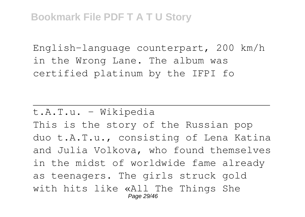English-language counterpart, 200 km/h in the Wrong Lane. The album was certified platinum by the IFPI fo

t.A.T.u. - Wikipedia This is the story of the Russian pop duo t.A.T.u., consisting of Lena Katina and Julia Volkova, who found themselves in the midst of worldwide fame already as teenagers. The girls struck gold with hits like «All The Things She Page 29/46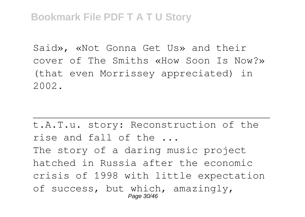Said», «Not Gonna Get Us» and their cover of The Smiths «How Soon Is Now?» (that even Morrissey appreciated) in 2002.

t.A.T.u. story: Reconstruction of the rise and fall of the ... The story of a daring music project hatched in Russia after the economic crisis of 1998 with little expectation of success, but which, amazingly, Page 30/46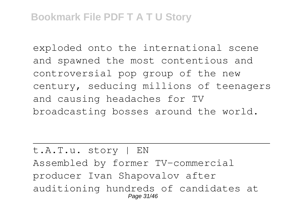exploded onto the international scene and spawned the most contentious and controversial pop group of the new century, seducing millions of teenagers and causing headaches for TV broadcasting bosses around the world.

t.A.T.u. story | EN Assembled by former TV-commercial producer Ivan Shapovalov after auditioning hundreds of candidates at Page 31/46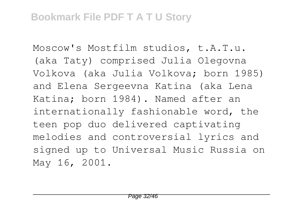Moscow's Mostfilm studios, t.A.T.u. (aka Taty) comprised Julia Olegovna Volkova (aka Julia Volkova; born 1985) and Elena Sergeevna Katina (aka Lena Katina; born 1984). Named after an internationally fashionable word, the teen pop duo delivered captivating melodies and controversial lyrics and signed up to Universal Music Russia on May 16, 2001.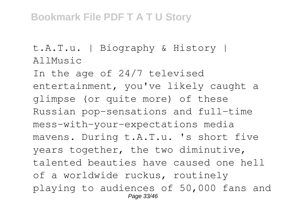t.A.T.u. | Biography & History | AllMusic

In the age of 24/7 televised entertainment, you've likely caught a glimpse (or quite more) of these Russian pop-sensations and full-time mess-with-your-expectations media mavens. During t.A.T.u. 's short five years together, the two diminutive, talented beauties have caused one hell of a worldwide ruckus, routinely playing to audiences of 50,000 fans and Page 33/46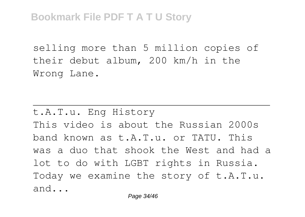selling more than 5 million copies of their debut album, 200 km/h in the Wrong Lane.

t.A.T.u. Eng History This video is about the Russian 2000s band known as t.A.T.u. or TATU. This was a duo that shook the West and had a lot to do with LGBT rights in Russia. Today we examine the story of t.A.T.u. and...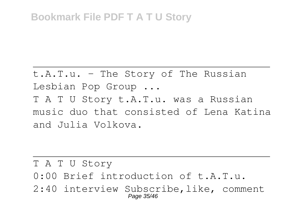t.A.T.u. - The Story of The Russian Lesbian Pop Group ... T A T U Story t.A.T.u. was a Russian music duo that consisted of Lena Katina and Julia Volkova.

T A T U Story

- 0:00 Brief introduction of t.A.T.u.
- 2:40 interview Subscribe,like, comment Page 35/46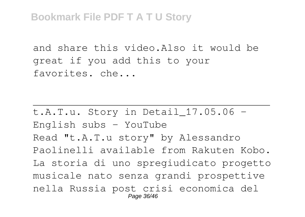and share this video.Also it would be great if you add this to your favorites. che...

t.A.T.u. Story in Detail  $17.05.06$  -English subs - YouTube Read "t.A.T.u story" by Alessandro Paolinelli available from Rakuten Kobo. La storia di uno spregiudicato progetto musicale nato senza grandi prospettive nella Russia post crisi economica del Page 36/46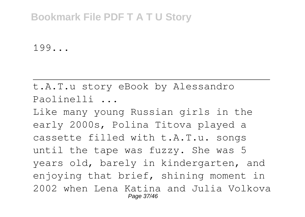199...

t.A.T.u story eBook by Alessandro Paolinelli ...

Like many young Russian girls in the early 2000s, Polina Titova played a cassette filled with t.A.T.u. songs until the tape was fuzzy. She was 5 years old, barely in kindergarten, and enjoying that brief, shining moment in 2002 when Lena Katina and Julia Volkova Page 37/46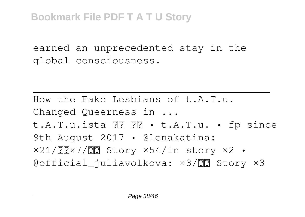earned an unprecedented stay in the global consciousness.

How the Fake Lesbians of t.A.T.u. Changed Queerness in ... t.A.T.u.ista • t.A.T.u. • fp since 9th August 2017 • @lenakatina:  $x21/\overline{?}x7/\overline{?}x7$  Story  $x54/in$  story  $x2$  • @official\_juliavolkova: ×3/?? Story ×3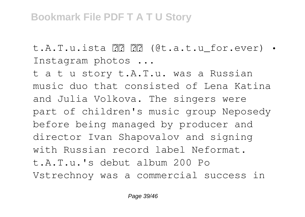t.A.T.u.ista (@t.a.t.u\_for.ever) • Instagram photos ...

t a t u story t.A.T.u. was a Russian music duo that consisted of Lena Katina and Julia Volkova. The singers were part of children's music group Neposedy before being managed by producer and director Ivan Shapovalov and signing with Russian record label Neformat. t.A.T.u.'s debut album 200 Po Vstrechnoy was a commercial success in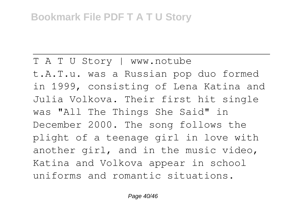T A T U Story | www.notube t.A.T.u. was a Russian pop duo formed in 1999, consisting of Lena Katina and Julia Volkova. Their first hit single was "All The Things She Said" in December 2000. The song follows the plight of a teenage girl in love with another girl, and in the music video, Katina and Volkova appear in school uniforms and romantic situations.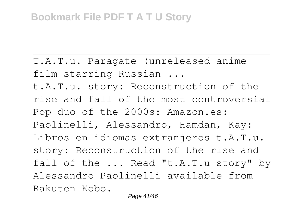T.A.T.u. Paragate (unreleased anime film starring Russian ...

t.A.T.u. story: Reconstruction of the rise and fall of the most controversial Pop duo of the 2000s: Amazon.es: Paolinelli, Alessandro, Hamdan, Kay: Libros en idiomas extranjeros t.A.T.u. story: Reconstruction of the rise and fall of the ... Read "t.A.T.u story" by Alessandro Paolinelli available from Rakuten Kobo.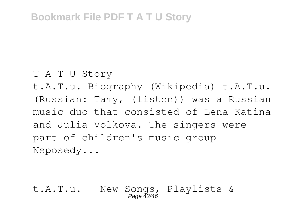#### T A T U Story

t.A.T.u. Biography (Wikipedia) t.A.T.u. (Russian: Тату, (listen)) was a Russian music duo that consisted of Lena Katina and Julia Volkova. The singers were part of children's music group Neposedy...

t.A.T.u. - New Songs, Playlists & Page 42/46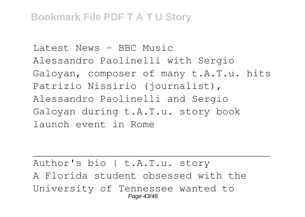```
Latest News - BBC Music
Alessandro Paolinelli with Sergio
Galoyan, composer of many t.A.T.u. hits
Patrizio Nissirio (journalist),
Alessandro Paolinelli and Sergio
Galoyan during t.A.T.u. story book
launch event in Rome
```
Author's bio | t.A.T.u. story A Florida student obsessed with the University of Tennessee wanted to Page 43/46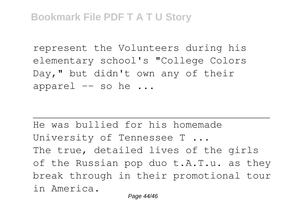represent the Volunteers during his elementary school's "College Colors Day," but didn't own any of their apparel  $-$  so he  $\ldots$ 

He was bullied for his homemade University of Tennessee T ... The true, detailed lives of the girls of the Russian pop duo t.A.T.u. as they break through in their promotional tour in America.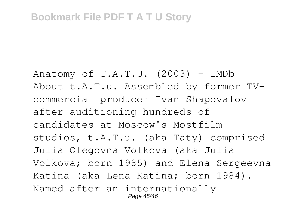Anatomy of  $T.A.T.U.$  (2003) - IMDb About t.A.T.u. Assembled by former TVcommercial producer Ivan Shapovalov after auditioning hundreds of candidates at Moscow's Mostfilm studios, t.A.T.u. (aka Taty) comprised Julia Olegovna Volkova (aka Julia Volkova; born 1985) and Elena Sergeevna Katina (aka Lena Katina; born 1984). Named after an internationally Page 45/46